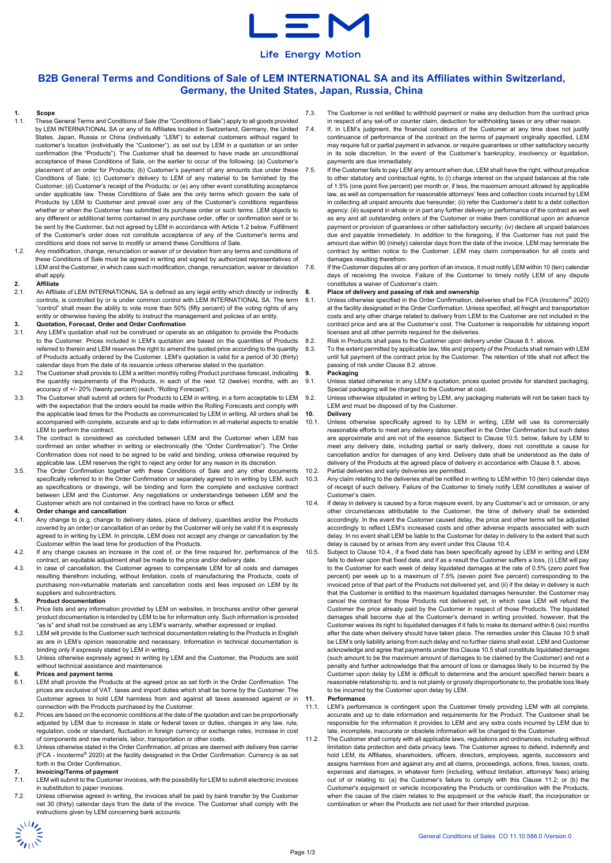

**Life Energy Motion** 

### **B2B General Terms and Conditions of Sale of LEM INTERNATIONAL SA and its Affiliates within Switzerland, Germany, the United States, Japan, Russia, China**

## **1. Scope**

- 1.1. These General Terms and Conditions of Sale (the "Conditions of Sale") apply to all goods provided by LEM INTERNATIONAL SA or any of its Affiliates located in Switzerland, Germany, the United States, Japan, Russia or China (individually "LEM") to external customers without regard to customer's location (individually the "Customer"), as set out by LEM in a quotation or an order confirmation (the "Products"). The Customer shall be deemed to have made an unconditional acceptance of these Conditions of Sale, on the earlier to occur of the following: (a) Customer's placement of an order for Products; (b) Customer's payment of any amounts due under these Conditions of Sale; (c) Customer's delivery to LEM of any material to be furnished by the Customer; (d) Customer's receipt of the Products; or (e) any other event constituting acceptance under applicable law. These Conditions of Sale are the only terms which govern the sale of Products by LEM to Customer and prevail over any of the Customer's conditions regardless whether or when the Customer has submitted its purchase order or such terms. LEM objects to any different or additional terms contained in any purchase order, offer or confirmation sent or to be sent by the Customer, but not agreed by LEM in accordance with Article 1.2 below. Fulfillment of the Customer's order does not constitute acceptance of any of the Customer's terms and conditions and does not serve to modify or amend these Conditions of Sale.
- 1.2. Any modification, change, renunciation or waiver of or deviation from any terms and conditions of these Conditions of Sale must be agreed in writing and signed by authorized representatives of LEM and the Customer, in which case such modification, change, renunciation, waiver or deviation 7.6. shall apply.

#### **2. Affiliate**

2.1. An Affiliate of LEM INTERNATIONAL SA is defined as any legal entity which directly or indirectly controls, is controlled by or is under common control with LEM INTERNATIONAL SA. The term "control" shall mean the ability to vote more than 50% (fifty percent) of the voting rights of any entity or otherwise having the ability to instruct the management and policies of an entity.

#### **3. Quotation, Forecast, Order and Order Confirmation**

- 3.1. Any LEM's quotation shall not be construed or operate as an obligation to provide the Products to the Customer. Prices included in LEM's quotation are based on the quantities of Products referred to therein and LEM reserves the right to amend the quoted price according to the quantity of Products actually ordered by the Customer. LEM's quotation is valid for a period of 30 (thirty) calendar days from the date of its issuance unless otherwise stated in the quotation.
- 3.2. The Customer shall provide to LEM a written monthly rolling Product purchase forecast, indicating the quantity requirements of the Products, in each of the next 12 (twelve) months, with an 9.1. accuracy of +/- 20% (twenty percent) (each, "Rolling Forecast").
- 3.3. The Customer shall submit all orders for Products to LEM in writing, in a form acceptable to LEM with the expectation that the orders would be made within the Rolling Forecasts and comply with the applicable lead times for the Products as communicated by LEM in writing. All orders shall be accompanied with complete, accurate and up to date information in all material aspects to enable LEM to perform the contract.
- 3.4. The contract is considered as concluded between LEM and the Customer when LEM has confirmed an order whether in writing or electronically (the "Order Confirmation"). The Order Confirmation does not need to be signed to be valid and binding, unless otherwise required by applicable law. LEM reserves the right to reject any order for any reason in its discretion.
- 3.5. The Order Confirmation together with these Conditions of Sale and any other documents specifically referred to in the Order Confirmation or separately agreed to in writing by LEM, such as specifications or drawings, will be binding and form the complete and exclusive contract between LEM and the Customer. Any negotiations or understandings between LEM and the Customer which are not contained in the contract have no force or effect.

# **4. Order change and cancellation**<br>**4.1** Any change to (e.g. change to de

- Any change to (e.g. change to delivery dates, place of delivery, quantities and/or the Products covered by an order) or cancellation of an order by the Customer will only be valid if it is expressly agreed to in writing by LEM. In principle, LEM does not accept any change or cancellation by the Customer within the lead time for production of the Products.
- 4.2. If any change causes an increase in the cost of, or the time required for, performance of the contract, an equitable adjustment shall be made to the price and/or delivery date.
- 4.3. In case of cancellation, the Customer agrees to compensate LEM for all costs and damages resulting therefrom including, without limitation, costs of manufacturing the Products, costs of purchasing non-returnable materials and cancellation costs and fees imposed on LEM by its .<br>suppliers and subcontractors

# **5. Product documentation**

- Price lists and any information provided by LEM on websites, in brochures and/or other general product documentation is intended by LEM to be for information only. Such information is provided "as is" and shall not be construed as any LEM's warranty, whether expressed or implied.
- 5.2. LEM will provide to the Customer such technical documentation relating to the Products in English as are in LEM's opinion reasonable and necessary. Information in technical documentation is binding only if expressly stated by LEM in writing.
- 5.3. Unless otherwise expressly agreed in writing by LEM and the Customer, the Products are sold without technical assistance and maintenance.

### **6. Prices and payment terms**<br>**6.1 LEM** shall provide the Produ

- LEM shall provide the Products at the agreed price as set forth in the Order Confirmation. The prices are exclusive of VAT, taxes and import duties which shall be borne by the Customer. The Customer agrees to hold LEM harmless from and against all taxes assessed against or in connection with the Products purchased by the Customer.
- 6.2. Prices are based on the economic conditions at the date of the quotation and can be proportionally adjusted by LEM due to increase in state or federal taxes or duties, changes in any law, rule, regulation, code or standard, fluctuation in foreign currency or exchange rates, increase in cost of components and raw materials, labor, transportation or other costs.
- 6.3. Unless otherwise stated in the Order Confirmation, all prices are deemed with delivery free carrier (FCA - Incoterms® 2020) at the facility designated in the Order Confirmation. Currency is as set forth in the Order Confirmation.

- **7. Invoicing/Terms of payment** LEM will submit to the Customer invoices, with the possibility for LEM to submit electronic invoices in substitution to paper invoices.
- 7.2. Unless otherwise agreed in writing, the invoices shall be paid by bank transfer by the Customer net 30 (thirty) calendar days from the date of the invoice. The Customer shall comply with the instructions given by LEM concerning bank accounts.
- 7.3. The Customer is not entitled to withhold payment or make any deduction from the contract price in respect of any set-off or counter claim, deduction for withholding taxes or any other reason.
- 7.4. If, in LEM's judgment, the financial conditions of the Customer at any time does not justify continuance of performance of the contract on the terms of payment originally specified, LEM may require full or partial payment in advance, or require guarantees or other satisfactory security in its sole discretion. In the event of the Customer's bankruptcy, insolvency or liquidation, payments are due immediately.
- 7.5. If the Customer fails to pay LEM any amount when due, LEM shall have the right, without prejudice to other statutory and contractual rights, to (i) charge interest on the unpaid balances at the rate of 1.5% (one point five percent) per month or, if less, the maximum amount allowed by applicable law, as well as compensation for reasonable attorneys' fees and collection costs incurred by LEM in collecting all unpaid amounts due hereunder; (ii) refer the Customer's debt to a debt collection agency; (iii) suspend in whole or in part any further delivery or performance of the contract as well as any and all outstanding orders of the Customer or make them conditional upon an advance payment or provision of guarantees or other satisfactory security; (iv) declare all unpaid balances due and payable immediately. In addition to the foregoing, if the Customer has not paid the amount due within 90 (ninety) calendar days from the date of the invoice, LEM may terminate the contract by written notice to the Customer. LEM may claim compensation for all costs and damages resulting therefrom.
	- If the Customer disputes all or any portion of an invoice, it must notify LEM within 10 (ten) calendar days of receiving the invoice. Failure of the Customer to timely notify LEM of any dispute constitutes a waiver of Customer's claim.

## **8. Place of delivery and passing of risk and ownership**

- 8.1. Unless otherwise specified in the Order Confirmation, deliveries shall be FCA (Incoterms® 2020) at the facility designated in the Order Confirmation. Unless specified, all freight and transportation costs and any other charge related to delivery from LEM to the Customer are not included in the contract price and are at the Customer's cost. The Customer is responsible for obtaining import licenses and all other permits required for the deliveries.
- 8.2. Risk in Products shall pass to the Customer upon delivery under Clause 8.1. above.
- 8.3. To the extent permitted by applicable law, title and property of the Products shall remain with LEM until full payment of the contract price by the Customer. The retention of title shall not affect the passing of risk under Clause 8.2. above.

### **9. Packaging**

- Unless stated otherwise in any LEM's quotation, prices quoted provide for standard packaging
- Special packaging will be charged to the Customer at cost. 9.2. Unless otherwise stipulated in writing by LEM, any packaging materials will not be taken back by LEM and must be disposed of by the Customer.

#### **10. Delivery**

- 10.1. Unless otherwise specifically agreed to by LEM in writing, LEM will use its commercially reasonable efforts to meet any delivery dates specified in the Order Confirmation but such dates are approximate and are not of the essence. Subject to Clause 10.5. below, failure by LEM to meet any delivery date, including partial or early delivery, does not constitute a cause for cancellation and/or for damages of any kind. Delivery date shall be understood as the date of delivery of the Products at the agreed place of delivery in accordance with Clause 8.1. above. 10.2. Partial deliveries and early deliveries are permitted.
- 10.3. Any claim relating to the deliveries shall be notified in writing to LEM within 10 (ten) calendar days
- of receipt of such delivery. Failure of the Customer to timely notify LEM constitutes a waiver of Customer's claim.
- 10.4. If delay in delivery is caused by a force majeure event, by any Customer's act or omission, or any other circumstances attributable to the Customer, the time of delivery shall be extended accordingly. In the event the Customer caused delay, the price and other terms will be adjusted accordingly to reflect LEM's increased costs and other adverse impacts associated with such delay. In no event shall LEM be liable to the Customer for delay in delivery to the extent that such delay is caused by or arises from any event under this Clause 10.4.
- 10.5. Subject to Clause 10.4., if a fixed date has been specifically agreed by LEM in writing and LEM fails to deliver upon that fixed date, and if as a result the Customer suffers a loss, (i) LEM will pay to the Customer for each week of delay liquidated damages at the rate of 0.5% (zero point five percent) per week up to a maximum of 7.5% (seven point five percent) corresponding to the invoiced price of that part of the Products not delivered yet, and (ii) if the delay in delivery is such that the Customer is entitled to the maximum liquidated damages hereunder, the Customer may cancel the contract for those Products not delivered yet, in which case LEM will refund the Customer the price already paid by the Customer in respect of those Products. The liquidated damages shall become due at the Customer's demand in writing provided, however, that the Customer waives its right to liquidated damages if it fails to make its demand within 6 (six) months after the date when delivery should have taken place. The remedies under this Clause 10.5 shall be LEM's only liability arising from such delay and no further claims shall exist. LEM and Customer acknowledge and agree that payments under this Clause 10.5 shall constitute liquidated damages (such amount to be the maximum amount of damages to be claimed by the Customer) and not a penalty and further acknowledge that the amount of loss or damages likely to be incurred by the Customer upon delay by LEM is difficult to determine and the amount specified herein bears a reasonable relationship to, and is not plainly or grossly disproportionate to, the probable loss likely to be incurred by the Customer upon delay by LEM.

#### **11. Performance**

11.1. LEM's performance is contingent upon the Customer timely providing LEM with all complete, accurate and up to date information and requirements for the Product. The Customer shall be responsible for the information it provides to LEM and any extra costs incurred by LEM due to late, incomplete, inaccurate or obsolete information will be charged to the Customer.

11.2. The Customer shall comply with all applicable laws, regulations and ordinances, including without limitation data protection and data privacy laws. The Customer agrees to defend, indemnify and hold LEM, its Affiliates, shareholders, officers, directors, employees, agents, successors and assigns harmless from and against any and all claims, proceedings, actions, fines, losses, costs, expenses and damages, in whatever form (including, without limitation, attorneys' fees) arising out of or relating to: (a) the Customer's failure to comply with this Clause 11.2; or (b) the Customer's equipment or vehicle incorporating the Products or combination with the Products, when the cause of the claim relates to the equipment or the vehicle itself, the incorporation or combination or when the Products are not used for their intended purpose.

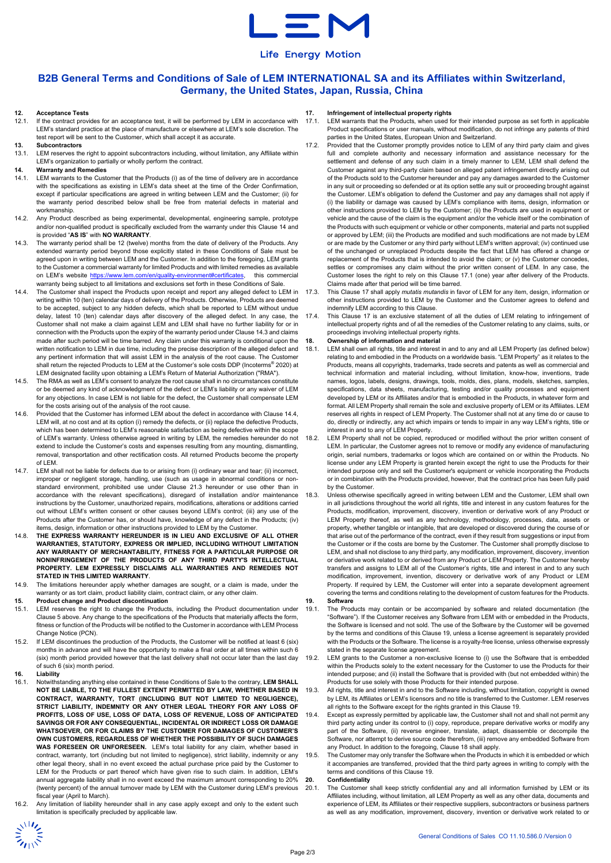

**Life Energy Motion** 

### **B2B General Terms and Conditions of Sale of LEM INTERNATIONAL SA and its Affiliates within Switzerland, Germany, the United States, Japan, Russia, China**

### **12. Acceptance Tests**

- If the contract provides for an acceptance test, it will be performed by LEM in accordance with LEM's standard practice at the place of manufacture or elsewhere at LEM's sole discretion. The test report will be sent to the Customer, which shall accept it as accurate
- **13. Subcontractors**
- 13.1. LEM reserves the right to appoint subcontractors including, without limitation, any Affiliate within LEM's organization to partially or wholly perform the contract.
- **14. Warranty and Remedies**
- LEM warrants to the Customer that the Products (i) as of the time of delivery are in accordance with the specifications as existing in LEM's data sheet at the time of the Order Confirmation, except if particular specifications are agreed in writing between LEM and the Customer; (ii) for the warranty period described below shall be free from material defects in material and workmanship.
- 14.2. Any Product described as being experimental, developmental, engineering sample, prototype and/or non-qualified product is specifically excluded from the warranty under this Clause 14 and is provided "**AS IS**" with **NO WARRANTY**.
- 14.3. The warranty period shall be 12 (twelve) months from the date of delivery of the Products. Any extended warranty period beyond those explicitly stated in these Conditions of Sale must be agreed upon in writing between LEM and the Customer. In addition to the foregoing, LEM grants to the Customer a commercial warranty for limited Products and with limited remedies as available on LEM's website [https://www.lem.com/en/quality-environment#certificates,](https://www.lem.com/en/quality-environment#certificates) this commercial warranty being subject to all limitations and exclusions set forth in these Conditions of Sale.
- 14.4. The Customer shall inspect the Products upon receipt and report any alleged defect to LEM in writing within 10 (ten) calendar days of delivery of the Products. Otherwise, Products are deemed to be accepted, subject to any hidden defects, which shall be reported to LEM without undue delay, latest 10 (ten) calendar days after discovery of the alleged defect. In any case, the Customer shall not make a claim against LEM and LEM shall have no further liability for or in connection with the Products upon the expiry of the warranty period under Clause 14.3 and claims made after such period will be time barred. Any claim under this warranty is conditional upon the written notification to LEM in due time, including the precise description of the alleged defect and any pertinent information that will assist LEM in the analysis of the root cause. The Customer shall return the rejected Products to LEM at the Customer's sole costs DDP (Incoterms® 2020) at LEM designated facility upon obtaining a LEM's Return of Material Authorization ("RMA").
- 14.5. The RMA as well as LEM's consent to analyze the root cause shall in no circumstances constitute or be deemed any kind of acknowledgment of the defect or LEM's liability or any waiver of LEM for any objections. In case LEM is not liable for the defect, the Customer shall compensate LEM for the costs arising out of the analysis of the root cause.
- 14.6. Provided that the Customer has informed LEM about the defect in accordance with Clause 14.4, LEM will, at no cost and at its option (i) remedy the defects, or (ii) replace the defective Products, which has been determined to LEM's reasonable satisfaction as being defective within the scope of LEM's warranty. Unless otherwise agreed in writing by LEM, the remedies hereunder do not extend to include the Customer's costs and expenses resulting from any mounting, dismantling, removal, transportation and other rectification costs. All returned Products become the property of LEM.
- 14.7. LEM shall not be liable for defects due to or arising from (i) ordinary wear and tear; (ii) incorrect, improper or negligent storage, handling, use (such as usage in abnormal conditions or nonstandard environment, prohibited use under Clause 21.3 hereunder or use other than in accordance with the relevant specifications), disregard of installation and/or maintenance instructions by the Customer, unauthorized repairs, modifications, alterations or additions carried out without LEM's written consent or other causes beyond LEM's control; (iii) any use of the Products after the Customer has, or should have, knowledge of any defect in the Products; (iv)
- items, design, information or other instructions provided to LEM by the Customer. 14.8. **THE EXPRESS WARRANTY HEREUNDER IS IN LIEU AND EXCLUSIVE OF ALL OTHER WARRANTIES, STATUTORY, EXPRESS OR IMPLIED, INCLUDING WITHOUT LIMITATION ANY WARRANTY OF MERCHANTABILITY, FITNESS FOR A PARTICULAR PURPOSE OR NONINFRINGEMENT OF THE PRODUCTS OF ANY THIRD PARTY'S INTELLECTUAL PROPERTY. LEM EXPRESSLY DISCLAIMS ALL WARRANTIES AND REMEDIES NOT STATED IN THIS LIMITED WARRANTY**.
- 14.9. The limitations hereunder apply whether damages are sought, or a claim is made, under the warranty or as tort claim, product liability claim, contract claim, or any other claim.
- **15. Product change and Product discontinuation**
- LEM reserves the right to change the Products, including the Product documentation under Clause 5 above. Any change to the specifications of the Products that materially affects the form, fitness or function of the Products will be notified to the Customer in accordance with LEM Process Change Notice (PCN).
- 15.2. If LEM discontinues the production of the Products, the Customer will be notified at least 6 (six) months in advance and will have the opportunity to make a final order at all times within such 6 (six) month period provided however that the last delivery shall not occur later than the last day of such 6 (six) month period.
- 
- **16. Liability** 16.1. Notwithstanding anything else contained in these Conditions of Sale to the contrary, **LEM SHALL NOT BE LIABLE, TO THE FULLEST EXTENT PERMITTED BY LAW, WHETHER BASED IN CONTRACT, WARRANTY, TORT (INCLUDING BUT NOT LIMITED TO NEGLIGENCE), STRICT LIABILITY, INDEMNITY OR ANY OTHER LEGAL THEORY FOR ANY LOSS OF PROFITS, LOSS OF USE, LOSS OF DATA, LOSS OF REVENUE, LOSS OF ANTICIPATED SAVINGS OR FOR ANY CONSEQUENTIAL, INCIDENTAL OR INDIRECT LOSS OR DAMAGE WHATSOEVER, OR FOR CLAIMS BY THE CUSTOMER FOR DAMAGES OF CUSTOMER'S OWN CUSTOMERS, REGARDLESS OF WHETHER THE POSSIBILITY OF SUCH DAMAGES WAS FORESEEN OR UNFORESEEN.** LEM's total liability for any claim, whether based in contract, warranty, tort (including but not limited to negligence), strict liability, indemnity or any other legal theory, shall in no event exceed the actual purchase price paid by the Customer to LEM for the Products or part thereof which have given rise to such claim. In addition, LEM's annual aggregate liability shall in no event exceed the maximum amount corresponding to 20% (twenty percent) of the annual turnover made by LEM with the Customer during LEM's previous fiscal year (April to March).
- 16.2. Any limitation of liability hereunder shall in any case apply except and only to the extent such limitation is specifically precluded by applicable law.

### **17. Infringement of intellectual property rights**

- 17.1. LEM warrants that the Products, when used for their intended purpose as set forth in applicable Product specifications or user manuals, without modification, do not infringe any patents of third parties in the United States, European Union and Switzerland.
- 17.2. Provided that the Customer promptly provides notice to LEM of any third party claim and gives full and complete authority and necessary information and assistance necessary for the settlement and defense of any such claim in a timely manner to LEM, LEM shall defend the Customer against any third-party claim based on alleged patent infringement directly arising out of the Products sold to the Customer hereunder and pay any damages awarded to the Customer in any suit or proceeding so defended or at its option settle any suit or proceeding brought against the Customer. LEM's obligation to defend the Customer and pay any damages shall not apply if (i) the liability or damage was caused by LEM's compliance with items, design, information or other instructions provided to LEM by the Customer; (ii) the Products are used in equipment or vehicle and the cause of the claim is the equipment and/or the vehicle itself or the combination of the Products with such equipment or vehicle or other components, material and parts not supplied or approved by LEM; (iii) the Products are modified and such modifications are not made by LEM or are made by the Customer or any third party without LEM's written approval; (iv) continued use of the unchanged or unreplaced Products despite the fact that LEM has offered a change or replacement of the Products that is intended to avoid the claim; or (v) the Customer concedes, settles or compromises any claim without the prior written consent of LEM. In any case, the Customer loses the right to rely on this Clause 17.1 (one) year after delivery of the Products. Claims made after that period will be time barred.
- 17.3. This Clause 17 shall apply *mutatis mutandis* in favor of LEM for any item, design, information or other instructions provided to LEM by the Customer and the Customer agrees to defend and indemnify LEM according to this Clause.
- 17.4. This Clause 17 is an exclusive statement of all the duties of LEM relating to infringement of intellectual property rights and of all the remedies of the Customer relating to any claims, suits, or proceedings involving intellectual property rights.
- **18. Ownership of information and material**
- 18.1. LEM shall own all rights, title and interest in and to any and all LEM Property (as defined below) relating to and embodied in the Products on a worldwide basis. "LEM Property" as it relates to the Products, means all copyrights, trademarks, trade secrets and patents as well as commercial and technical information and material including, without limitation, know-how, inventions, trade names, logos, labels, designs, drawings, tools, molds, dies, plans, models, sketches, samples, specifications, data sheets, manufacturing, testing and/or quality processes and equipment developed by LEM or its Affiliates and/or that is embodied in the Products, in whatever form and format. All LEM Property shall remain the sole and exclusive property of LEM or its Affiliates. LEM reserves all rights in respect of LEM Property. The Customer shall not at any time do or cause to do, directly or indirectly, any act which impairs or tends to impair in any way LEM's rights, title or interest in and to any of LEM Property.
- 18.2. LEM Property shall not be copied, reproduced or modified without the prior written consent of LEM. In particular, the Customer agrees not to remove or modify any evidence of manufacturing origin, serial numbers, trademarks or logos which are contained on or within the Products. No license under any LEM Property is granted herein except the right to use the Products for their intended purpose only and sell the Customer's equipment or vehicle incorporating the Products or in combination with the Products provided, however, that the contract price has been fully paid by the Customer.
- Unless otherwise specifically agreed in writing between LEM and the Customer, LEM shall own in all jurisdictions throughout the world all rights, title and interest in any custom features for the Products, modification, improvement, discovery, invention or derivative work of any Product or LEM Property thereof, as well as any technology, methodology, processes, data, assets or property, whether tangible or intangible, that are developed or discovered during the course of or that arise out of the performance of the contract, even if they result from suggestions or input from the Customer or if the costs are borne by the Customer. The Customer shall promptly disclose to LEM, and shall not disclose to any third party, any modification, improvement, discovery, invention or derivative work related to or derived from any Product or LEM Property. The Customer hereby transfers and assigns to LEM all of the Customer's rights, title and interest in and to any such modification, improvement, invention, discovery or derivative work of any Product or LEM Property. If required by LEM, the Customer will enter into a separate development agreement covering the terms and conditions relating to the development of custom features for the Products.
- **19. Software**
	- The Products may contain or be accompanied by software and related documentation (the "Software"). If the Customer receives any Software from LEM with or embedded in the Products, the Software is licensed and not sold. The use of the Software by the Customer will be governed by the terms and conditions of this Clause 19, unless a license agreement is separately provided with the Products or the Software. The license is a royalty-free license, unless otherwise expressly stated in the separate license agreement.
- 19.2. LEM grants to the Customer a non-exclusive license to (i) use the Software that is embedded within the Products solely to the extent necessary for the Customer to use the Products for their intended purpose; and (ii) install the Software that is provided with (but not embedded within) the Products for use solely with those Products for their intended purpose.
- All rights, title and interest in and to the Software including, without limitation, copyright is owned by LEM, its Affiliates or LEM's licensors and no title is transferred to the Customer. LEM reserves all rights to the Software except for the rights granted in this Clause 19.
- 19.4. Except as expressly permitted by applicable law, the Customer shall not and shall not permit any third party acting under its control to (i) copy, reproduce, prepare derivative works or modify any part of the Software, (ii) reverse engineer, translate, adapt, disassemble or decompile the Software, nor attempt to derive source code therefrom, (iii) remove any embedded Software from any Product. In addition to the foregoing, Clause 18 shall apply.
- 19.5. The Customer may only transfer the Software when the Products in which it is embedded or which it accompanies are transferred, provided that the third party agrees in writing to comply with the terms and conditions of this Clause 19.
- **20. Confidentiality**
	- The Customer shall keep strictly confidential any and all information furnished by LEM or its Affiliates including, without limitation, all LEM Property as well as any other data, documents and experience of LEM, its Affiliates or their respective suppliers, subcontractors or business partners as well as any modification, improvement, discovery, invention or derivative work related to or